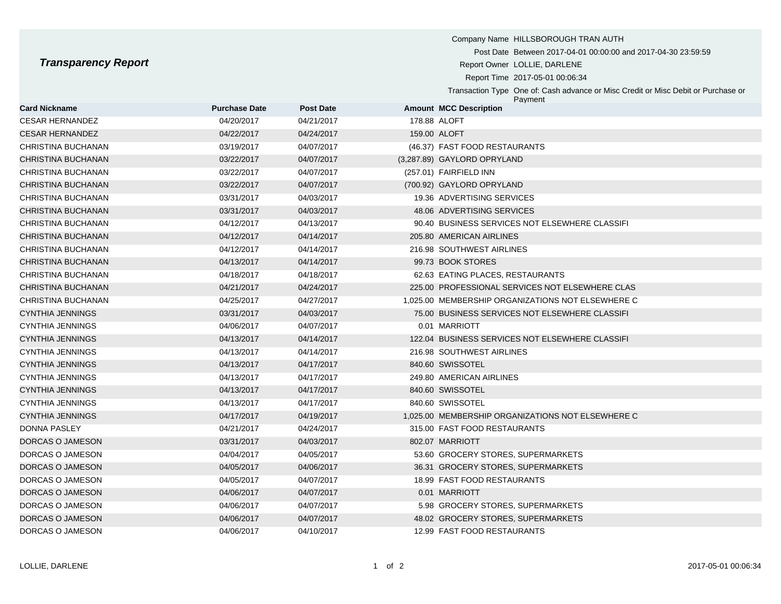Report Time 2017-05-01 00:06:34

Transaction Type One of: Cash advance or Misc Credit or Misc Debit or Purchase or Payment

| <b>Card Nickname</b>      | <b>Purchase Date</b> | <b>Post Date</b> | <b>Amount MCC Description</b>                     |
|---------------------------|----------------------|------------------|---------------------------------------------------|
| <b>CESAR HERNANDEZ</b>    | 04/20/2017           | 04/21/2017       | 178.88 ALOFT                                      |
| <b>CESAR HERNANDEZ</b>    | 04/22/2017           | 04/24/2017       | 159.00 ALOFT                                      |
| CHRISTINA BUCHANAN        | 03/19/2017           | 04/07/2017       | (46.37) FAST FOOD RESTAURANTS                     |
| CHRISTINA BUCHANAN        | 03/22/2017           | 04/07/2017       | (3,287.89) GAYLORD OPRYLAND                       |
| CHRISTINA BUCHANAN        | 03/22/2017           | 04/07/2017       | (257.01) FAIRFIELD INN                            |
| CHRISTINA BUCHANAN        | 03/22/2017           | 04/07/2017       | (700.92) GAYLORD OPRYLAND                         |
| CHRISTINA BUCHANAN        | 03/31/2017           | 04/03/2017       | 19.36 ADVERTISING SERVICES                        |
| <b>CHRISTINA BUCHANAN</b> | 03/31/2017           | 04/03/2017       | 48.06 ADVERTISING SERVICES                        |
| CHRISTINA BUCHANAN        | 04/12/2017           | 04/13/2017       | 90.40 BUSINESS SERVICES NOT ELSEWHERE CLASSIFI    |
| <b>CHRISTINA BUCHANAN</b> | 04/12/2017           | 04/14/2017       | 205.80 AMERICAN AIRLINES                          |
| CHRISTINA BUCHANAN        | 04/12/2017           | 04/14/2017       | 216.98 SOUTHWEST AIRLINES                         |
| CHRISTINA BUCHANAN        | 04/13/2017           | 04/14/2017       | 99.73 BOOK STORES                                 |
| CHRISTINA BUCHANAN        | 04/18/2017           | 04/18/2017       | 62.63 EATING PLACES, RESTAURANTS                  |
| CHRISTINA BUCHANAN        | 04/21/2017           | 04/24/2017       | 225.00 PROFESSIONAL SERVICES NOT ELSEWHERE CLAS   |
| CHRISTINA BUCHANAN        | 04/25/2017           | 04/27/2017       | 1.025.00 MEMBERSHIP ORGANIZATIONS NOT ELSEWHERE C |
| CYNTHIA JENNINGS          | 03/31/2017           | 04/03/2017       | 75.00 BUSINESS SERVICES NOT ELSEWHERE CLASSIFI    |
| <b>CYNTHIA JENNINGS</b>   | 04/06/2017           | 04/07/2017       | 0.01 MARRIOTT                                     |
| CYNTHIA JENNINGS          | 04/13/2017           | 04/14/2017       | 122.04 BUSINESS SERVICES NOT ELSEWHERE CLASSIFI   |
| <b>CYNTHIA JENNINGS</b>   | 04/13/2017           | 04/14/2017       | 216.98 SOUTHWEST AIRLINES                         |
| <b>CYNTHIA JENNINGS</b>   | 04/13/2017           | 04/17/2017       | 840.60 SWISSOTEL                                  |
| <b>CYNTHIA JENNINGS</b>   | 04/13/2017           | 04/17/2017       | 249.80 AMERICAN AIRLINES                          |
| <b>CYNTHIA JENNINGS</b>   | 04/13/2017           | 04/17/2017       | 840.60 SWISSOTEL                                  |
| <b>CYNTHIA JENNINGS</b>   | 04/13/2017           | 04/17/2017       | 840.60 SWISSOTEL                                  |
| <b>CYNTHIA JENNINGS</b>   | 04/17/2017           | 04/19/2017       | 1,025.00 MEMBERSHIP ORGANIZATIONS NOT ELSEWHERE C |
| <b>DONNA PASLEY</b>       | 04/21/2017           | 04/24/2017       | 315.00 FAST FOOD RESTAURANTS                      |
| DORCAS O JAMESON          | 03/31/2017           | 04/03/2017       | 802.07 MARRIOTT                                   |
| DORCAS O JAMESON          | 04/04/2017           | 04/05/2017       | 53.60 GROCERY STORES, SUPERMARKETS                |
| DORCAS O JAMESON          | 04/05/2017           | 04/06/2017       | 36.31 GROCERY STORES, SUPERMARKETS                |
| DORCAS O JAMESON          | 04/05/2017           | 04/07/2017       | 18.99 FAST FOOD RESTAURANTS                       |
| DORCAS O JAMESON          | 04/06/2017           | 04/07/2017       | 0.01 MARRIOTT                                     |
| DORCAS O JAMESON          | 04/06/2017           | 04/07/2017       | 5.98 GROCERY STORES, SUPERMARKETS                 |
| DORCAS O JAMESON          | 04/06/2017           | 04/07/2017       | 48.02 GROCERY STORES, SUPERMARKETS                |
| DORCAS O JAMESON          | 04/06/2017           | 04/10/2017       | 12.99 FAST FOOD RESTAURANTS                       |